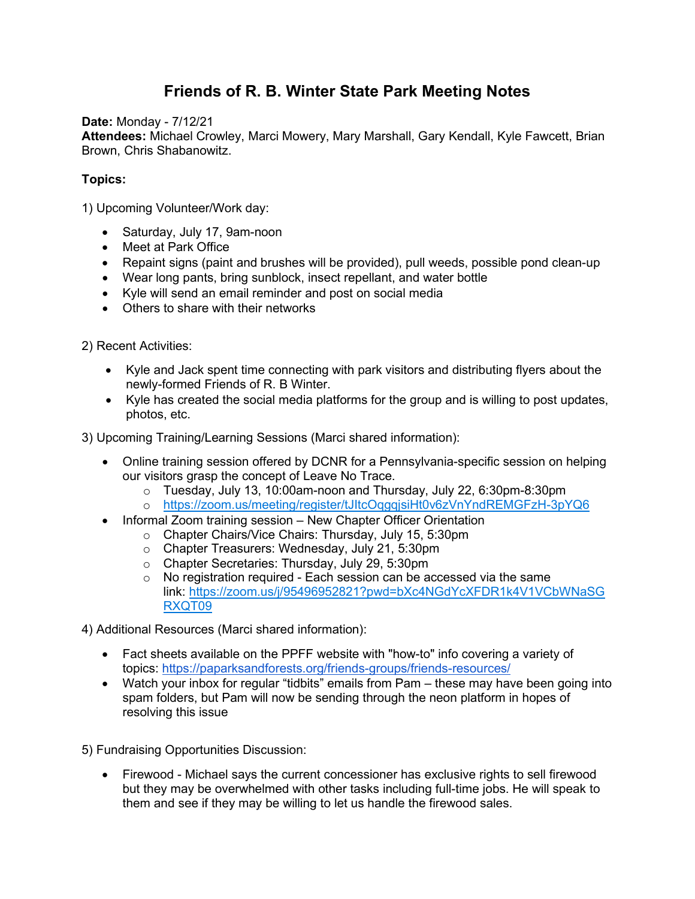## **Friends of R. B. Winter State Park Meeting Notes**

**Date:** Monday - 7/12/21

**Attendees:** Michael Crowley, Marci Mowery, Mary Marshall, Gary Kendall, Kyle Fawcett, Brian Brown, Chris Shabanowitz.

## **Topics:**

1) Upcoming Volunteer/Work day:

- Saturday, July 17, 9am-noon
- Meet at Park Office
- Repaint signs (paint and brushes will be provided), pull weeds, possible pond clean-up
- Wear long pants, bring sunblock, insect repellant, and water bottle
- Kyle will send an email reminder and post on social media
- Others to share with their networks

2) Recent Activities:

- Kyle and Jack spent time connecting with park visitors and distributing flyers about the newly-formed Friends of R. B Winter.
- Kyle has created the social media platforms for the group and is willing to post updates, photos, etc.

3) Upcoming Training/Learning Sessions (Marci shared information):

- Online training session offered by DCNR for a Pennsylvania-specific session on helping our visitors grasp the concept of Leave No Trace.
	- o Tuesday, July 13, 10:00am-noon and Thursday, July 22, 6:30pm-8:30pm
	- o [https://zoom.us/meeting/register/tJItcOqgqjsiHt0v6zVnYndREMGFzH-3pYQ6](about:blank)
- Informal Zoom training session New Chapter Officer Orientation
	- o Chapter Chairs/Vice Chairs: Thursday, July 15, 5:30pm
	- o Chapter Treasurers: Wednesday, July 21, 5:30pm
	- o Chapter Secretaries: Thursday, July 29, 5:30pm
	- o No registration required Each session can be accessed via the same link: [https://zoom.us/j/95496952821?pwd=bXc4NGdYcXFDR1k4V1VCbWNaSG](about:blank) [RXQT09](about:blank)

4) Additional Resources (Marci shared information):

- Fact sheets available on the PPFF website with "how-to" info covering a variety of topics: [https://paparksandforests.org/friends-groups/friends-resources/](about:blank)
- Watch your inbox for regular "tidbits" emails from Pam these may have been going into spam folders, but Pam will now be sending through the neon platform in hopes of resolving this issue

5) Fundraising Opportunities Discussion:

• Firewood - Michael says the current concessioner has exclusive rights to sell firewood but they may be overwhelmed with other tasks including full-time jobs. He will speak to them and see if they may be willing to let us handle the firewood sales.